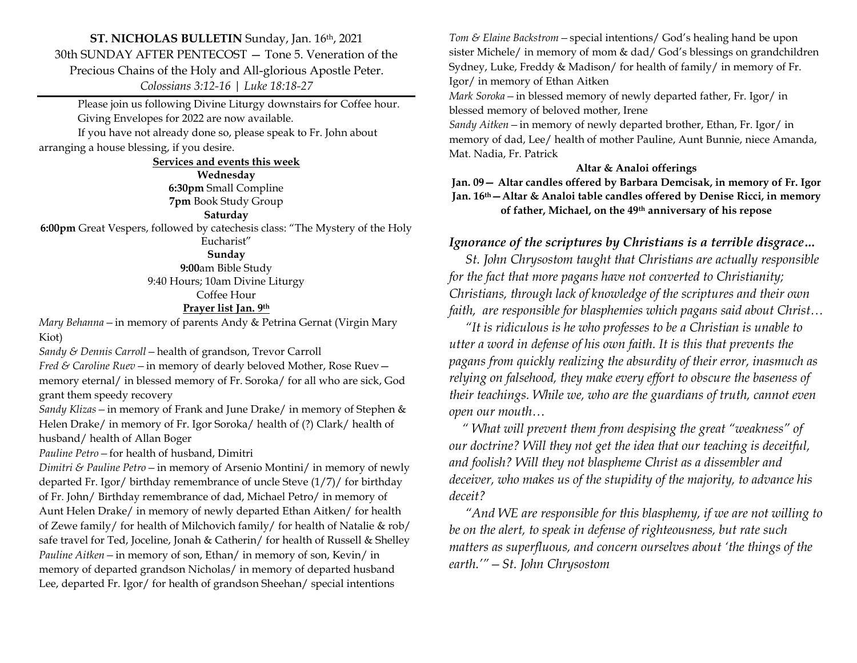## **ST. NICHOLAS BULLETIN** Sunday, Jan. 16th, 2021 30th SUNDAY AFTER PENTECOST — Tone 5. Veneration of the Precious Chains of the Holy and All-glorious Apostle Peter. *Colossians 3:12-16 | Luke 18:18-27*

Please join us following Divine Liturgy downstairs for Coffee hour. Giving Envelopes for 2022 are now available.

If you have not already done so, please speak to Fr. John about arranging a house blessing, if you desire.

#### **Services and events this week**

**Wednesday 6:30pm** Small Compline

**7pm** Book Study Group

#### **Saturday**

**6:00pm** Great Vespers, followed by catechesis class: "The Mystery of the Holy Eucharist"

#### **Sunday**

**9:00**am Bible Study 9:40 Hours; 10am Divine Liturgy Coffee Hour

### **Prayer list Jan. 9th**

*Mary Behanna—*in memory of parents Andy & Petrina Gernat (Virgin Mary Kiot)

*Sandy & Dennis Carroll—*health of grandson, Trevor Carroll

*Fred & Caroline Ruev—*in memory of dearly beloved Mother, Rose Ruev memory eternal/ in blessed memory of Fr. Soroka/ for all who are sick, God grant them speedy recovery

*Sandy Klizas—*in memory of Frank and June Drake/ in memory of Stephen & Helen Drake/ in memory of Fr. Igor Soroka/ health of (?) Clark/ health of husband/ health of Allan Boger

*Pauline Petro—*for health of husband, Dimitri

*Dimitri & Pauline Petro—*in memory of Arsenio Montini/ in memory of newly departed Fr. Igor/ birthday remembrance of uncle Steve (1/7)/ for birthday of Fr. John/ Birthday remembrance of dad, Michael Petro/ in memory of Aunt Helen Drake/ in memory of newly departed Ethan Aitken/ for health of Zewe family/ for health of Milchovich family/ for health of Natalie & rob/ safe travel for Ted, Joceline, Jonah & Catherin/ for health of Russell & Shelley *Pauline Aitken—*in memory of son, Ethan/ in memory of son, Kevin/ in memory of departed grandson Nicholas/ in memory of departed husband Lee, departed Fr. Igor/ for health of grandson Sheehan/ special intentions

*Tom & Elaine Backstrom—*special intentions/ God's healing hand be upon sister Michele/ in memory of mom & dad/ God's blessings on grandchildren Sydney, Luke, Freddy & Madison/ for health of family/ in memory of Fr. Igor/ in memory of Ethan Aitken

*Mark Soroka—*in blessed memory of newly departed father, Fr. Igor/ in blessed memory of beloved mother, Irene

*Sandy Aitken—*in memory of newly departed brother, Ethan, Fr. Igor/ in memory of dad, Lee/ health of mother Pauline, Aunt Bunnie, niece Amanda, Mat. Nadia, Fr. Patrick

## **Altar & Analoi offerings**

**Jan. 09— Altar candles offered by Barbara Demcisak, in memory of Fr. Igor Jan. 16 th—Altar & Analoi table candles offered by Denise Ricci, in memory of father, Michael, on the 49th anniversary of his repose**

# *Ignorance of the scriptures by Christians is a terrible disgrace…*

 *St. John Chrysostom taught that Christians are actually responsible for the fact that more pagans have not converted to Christianity; Christians, through lack of knowledge of the scriptures and their own faith, are responsible for blasphemies which pagans said about Christ…*

 *"It is ridiculous is he who professes to be a Christian is unable to utter a word in defense of his own faith. It is this that prevents the pagans from quickly realizing the absurdity of their error, inasmuch as relying on falsehood, they make every effort to obscure the baseness of their teachings. While we, who are the guardians of truth, cannot even open our mouth…*

 *" What will prevent them from despising the great "weakness" of our doctrine? Will they not get the idea that our teaching is deceitful, and foolish? Will they not blaspheme Christ as a dissembler and deceiver, who makes us of the stupidity of the majority, to advance his deceit?* 

 *"And WE are responsible for this blasphemy, if we are not willing to be on the alert, to speak in defense of righteousness, but rate such matters as superfluous, and concern ourselves about 'the things of the earth.'"—St. John Chrysostom*